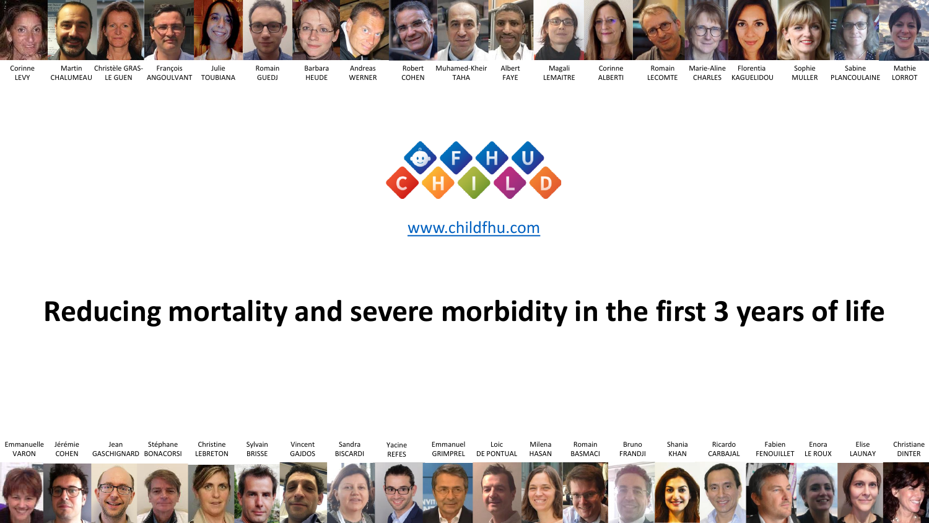



[www.childfhu.com](http://www.childfhu.com/)

## **Reducing mortality and severe morbidity in the first 3 years of life**

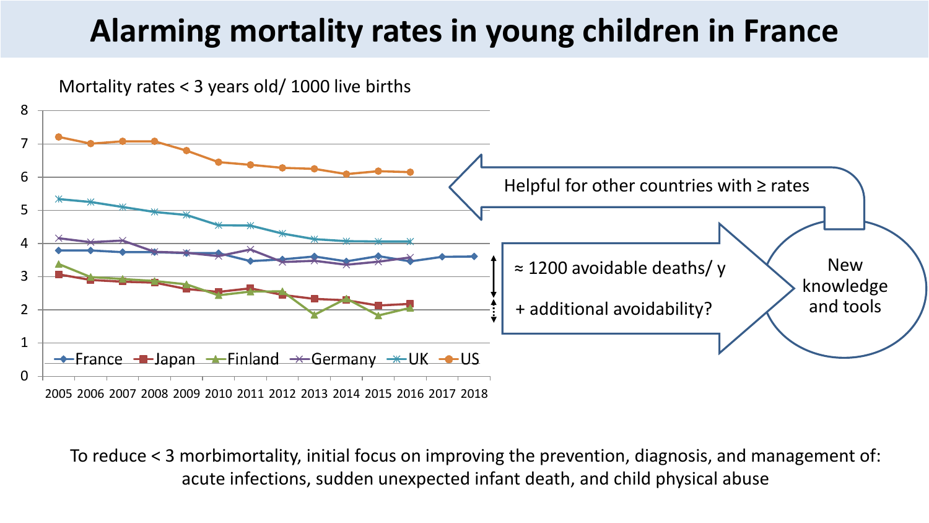## **Alarming mortality rates in young children in France**

Mortality rates < 3 years old/ 1000 live births



To reduce < 3 morbimortality, initial focus on improving the prevention, diagnosis, and management of: acute infections, sudden unexpected infant death, and child physical abuse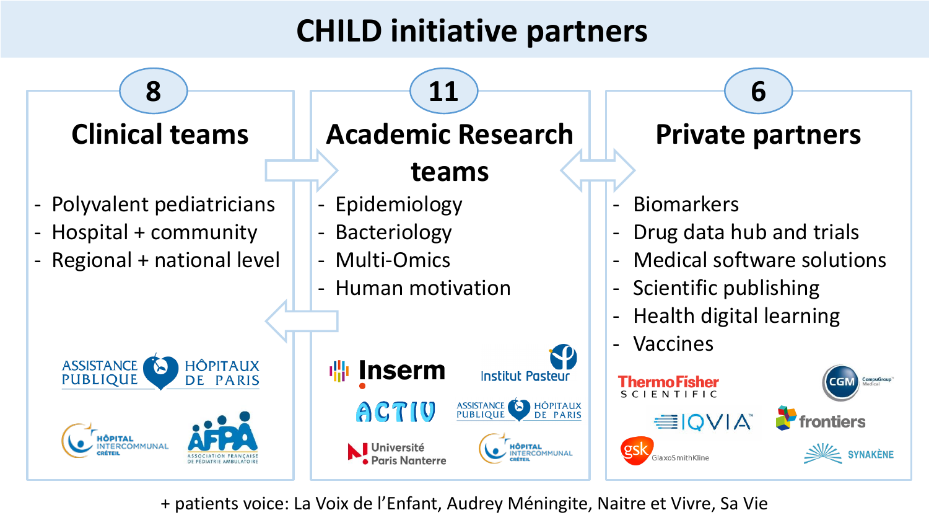## **CHILD initiative partners**



+ patients voice: La Voix de l'Enfant, Audrey Méningite, Naitre et Vivre, Sa Vie